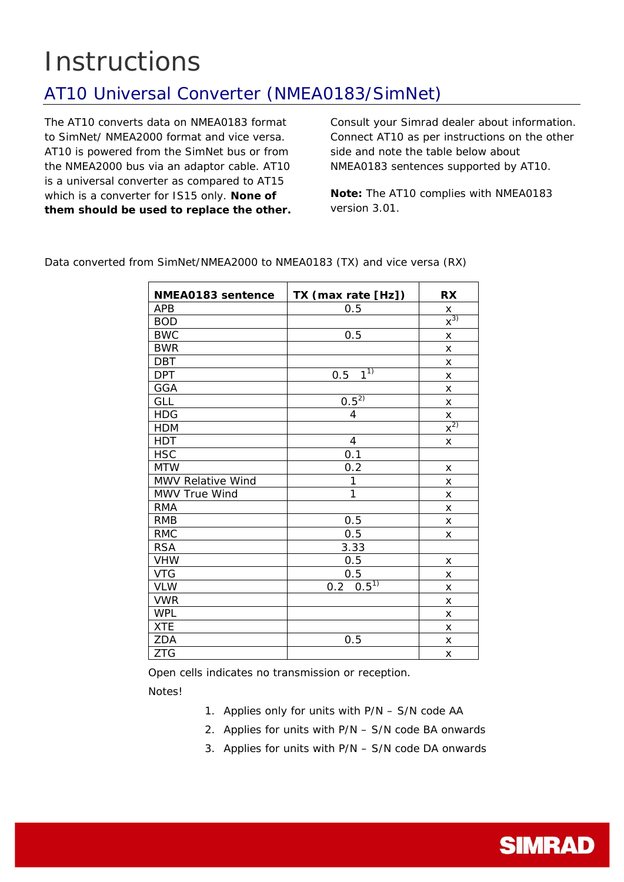## **Instructions**

## AT10 Universal Converter (NMEA0183/SimNet)

The AT10 converts data on NMEA0183 format to SimNet/ NMEA2000 format and vice versa. AT10 is powered from the SimNet bus or from the NMEA2000 bus via an adaptor cable. AT10 is a universal converter as compared to AT15 which is a converter for IS15 only. **None of them should be used to replace the other.** Consult your Simrad dealer about information. Connect AT10 as per instructions on the other side and note the table below about NMEA0183 sentences supported by AT10.

*Note: The AT10 complies with NMEA0183 version 3.01.* 

| NMEA0183 sentence | TX (max rate [Hz])    | <b>RX</b>                    |
|-------------------|-----------------------|------------------------------|
| <b>APB</b>        | 0.5                   | $\pmb{\times}$               |
| <b>BOD</b>        |                       | $\overline{\mathsf{x}^{3)}}$ |
| <b>BWC</b>        | 0.5                   | X                            |
| <b>BWR</b>        |                       | X                            |
| <b>DBT</b>        |                       | X                            |
| <b>DPT</b>        | 1 <sup>1</sup><br>0.5 | X                            |
| <b>GGA</b>        |                       | X                            |
| <b>GLL</b>        | $0.5^{27}$            | X                            |
| <b>HDG</b>        | 4                     |                              |
| <b>HDM</b>        |                       | $\frac{x}{x^{2}}$            |
| <b>HDT</b>        | 4                     | X                            |
| <b>HSC</b>        | 0.1                   |                              |
| <b>MTW</b>        | 0.2                   | X                            |
| MWV Relative Wind | 1                     | X                            |
| MWV True Wind     | 1                     | X                            |
| <b>RMA</b>        |                       | X                            |
| <b>RMB</b>        | 0.5                   | X                            |
| <b>RMC</b>        | 0.5                   | X                            |
| <b>RSA</b>        | 3.33                  |                              |
| <b>VHW</b>        | 0.5                   | X                            |
| <b>VTG</b>        | 0.5                   | X                            |
| <b>VLW</b>        | $0.5^{1}$<br>0.2      | X                            |
| <b>VWR</b>        |                       | X                            |
| <b>WPL</b>        |                       | X                            |
| <b>XTE</b>        |                       | X                            |
| <b>ZDA</b>        | 0.5                   | X                            |
| <b>ZTG</b>        |                       | X                            |

Data converted from SimNet/NMEA2000 to NMEA0183 (TX) and vice versa (RX)

Open cells indicates no transmission or reception.

Notes!

- 1. Applies only for units with P/N S/N code AA
- 2. Applies for units with P/N S/N code BA onwards
- 3. Applies for units with P/N S/N code DA onwards

**SIMRAD**